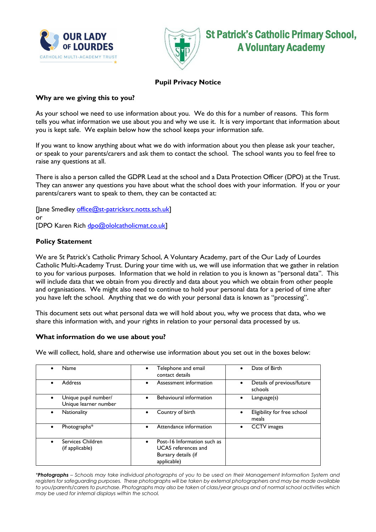



St Patrick's Catholic Primary School, A Voluntary Academy

# **Pupil Privacy Notice**

# **Why are we giving this to you?**

As your school we need to use information about you. We do this for a number of reasons. This form tells you what information we use about you and why we use it. It is very important that information about you is kept safe. We explain below how the school keeps your information safe.

If you want to know anything about what we do with information about you then please ask your teacher, or speak to your parents/carers and ask them to contact the school. The school wants you to feel free to raise any questions at all.

There is also a person called the GDPR Lead at the school and a Data Protection Officer (DPO) at the Trust. They can answer any questions you have about what the school does with your information. If you or your parents/carers want to speak to them, they can be contacted at:

[Jane Smedley [office@st-patricksrc.notts.sch.uk\]](mailto:office@st-patricksrc.notts.sch.uk) or [DPO Karen Rich [dpo@ololcatholicmat.co.uk\]](mailto:dpo@ololcatholicmat.co.uk)

# **Policy Statement**

We are St Patrick's Catholic Primary School, A Voluntary Academy, part of the Our Lady of Lourdes Catholic Multi-Academy Trust. During your time with us, we will use information that we gather in relation to you for various purposes. Information that we hold in relation to you is known as "personal data". This will include data that we obtain from you directly and data about you which we obtain from other people and organisations. We might also need to continue to hold your personal data for a period of time after you have left the school. Anything that we do with your personal data is known as "processing".

This document sets out what personal data we will hold about you, why we process that data, who we share this information with, and your rights in relation to your personal data processed by us.

### **What information do we use about you?**

We will collect, hold, share and otherwise use information about you set out in the boxes below:

| Name                                              | Telephone and email<br>contact details                                                          | Date of Birth                         |
|---------------------------------------------------|-------------------------------------------------------------------------------------------------|---------------------------------------|
| Address<br>$\bullet$                              | Assessment information                                                                          | Details of previous/future<br>schools |
| Unique pupil number/<br>Unique learner number     | Behavioural information                                                                         | $L$ anguage $(s)$                     |
| <b>Nationality</b><br>$\bullet$                   | Country of birth                                                                                | Eligibility for free school<br>meals  |
| Photographs*<br>$\bullet$                         | Attendance information                                                                          | <b>CCTV</b> images                    |
| Services Children<br>$\bullet$<br>(if applicable) | Post-16 Information such as<br><b>UCAS</b> references and<br>Bursary details (if<br>applicable) |                                       |

*\*Photographs – Schools may take individual photographs of you to be used on their Management Information System and registers for safeguarding purposes. These photographs will be taken by external photographers and may be made available to you/parents/carers to purchase. Photographs may also be taken of class/year groups and of normal school activities which may be used for internal displays within the school.*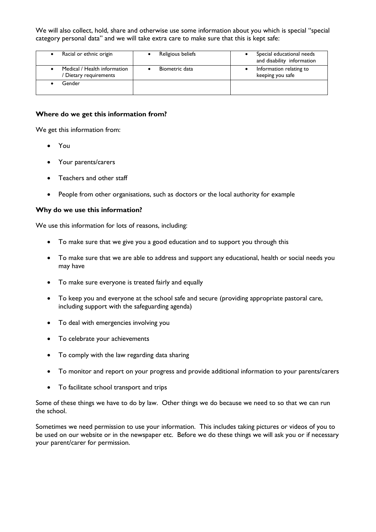We will also collect, hold, share and otherwise use some information about you which is special "special category personal data" and we will take extra care to make sure that this is kept safe:

|        | Racial or ethnic origin                              | Religious beliefs | Special educational needs<br>and disability information |
|--------|------------------------------------------------------|-------------------|---------------------------------------------------------|
|        | Medical / Health information<br>Dietary requirements | Biometric data    | Information relating to<br>keeping you safe             |
| Gender |                                                      |                   |                                                         |

#### **Where do we get this information from?**

We get this information from:

- You
- Your parents/carers
- Teachers and other staff
- People from other organisations, such as doctors or the local authority for example

### **Why do we use this information?**

We use this information for lots of reasons, including:

- To make sure that we give you a good education and to support you through this
- To make sure that we are able to address and support any educational, health or social needs you may have
- To make sure everyone is treated fairly and equally
- To keep you and everyone at the school safe and secure (providing appropriate pastoral care, including support with the safeguarding agenda)
- To deal with emergencies involving you
- To celebrate your achievements
- To comply with the law regarding data sharing
- To monitor and report on your progress and provide additional information to your parents/carers
- To facilitate school transport and trips

Some of these things we have to do by law. Other things we do because we need to so that we can run the school.

Sometimes we need permission to use your information. This includes taking pictures or videos of you to be used on our website or in the newspaper etc. Before we do these things we will ask you or if necessary your parent/carer for permission.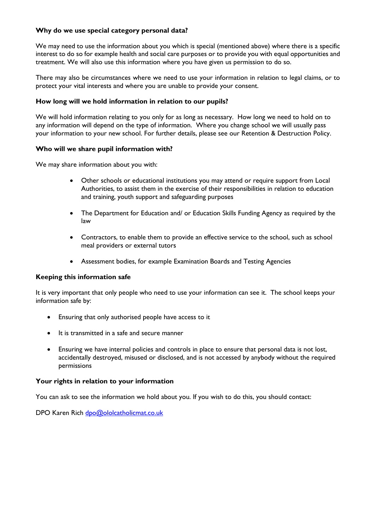# **Why do we use special category personal data?**

We may need to use the information about you which is special (mentioned above) where there is a specific interest to do so for example health and social care purposes or to provide you with equal opportunities and treatment. We will also use this information where you have given us permission to do so.

There may also be circumstances where we need to use your information in relation to legal claims, or to protect your vital interests and where you are unable to provide your consent.

## **How long will we hold information in relation to our pupils?**

We will hold information relating to you only for as long as necessary. How long we need to hold on to any information will depend on the type of information. Where you change school we will usually pass your information to your new school. For further details, please see our Retention & Destruction Policy.

## **Who will we share pupil information with?**

We may share information about you with:

- Other schools or educational institutions you may attend or require support from Local Authorities, to assist them in the exercise of their responsibilities in relation to education and training, youth support and safeguarding purposes
- The Department for Education and/ or Education Skills Funding Agency as required by the law
- Contractors, to enable them to provide an effective service to the school, such as school meal providers or external tutors
- Assessment bodies, for example Examination Boards and Testing Agencies

### **Keeping this information safe**

It is very important that only people who need to use your information can see it. The school keeps your information safe by:

- Ensuring that only authorised people have access to it
- It is transmitted in a safe and secure manner
- Ensuring we have internal policies and controls in place to ensure that personal data is not lost, accidentally destroyed, misused or disclosed, and is not accessed by anybody without the required permissions

### **Your rights in relation to your information**

You can ask to see the information we hold about you. If you wish to do this, you should contact:

DPO Karen Rich [dpo@ololcatholicmat.co.uk](mailto:dpo@ololcatholicmat.co.uk)